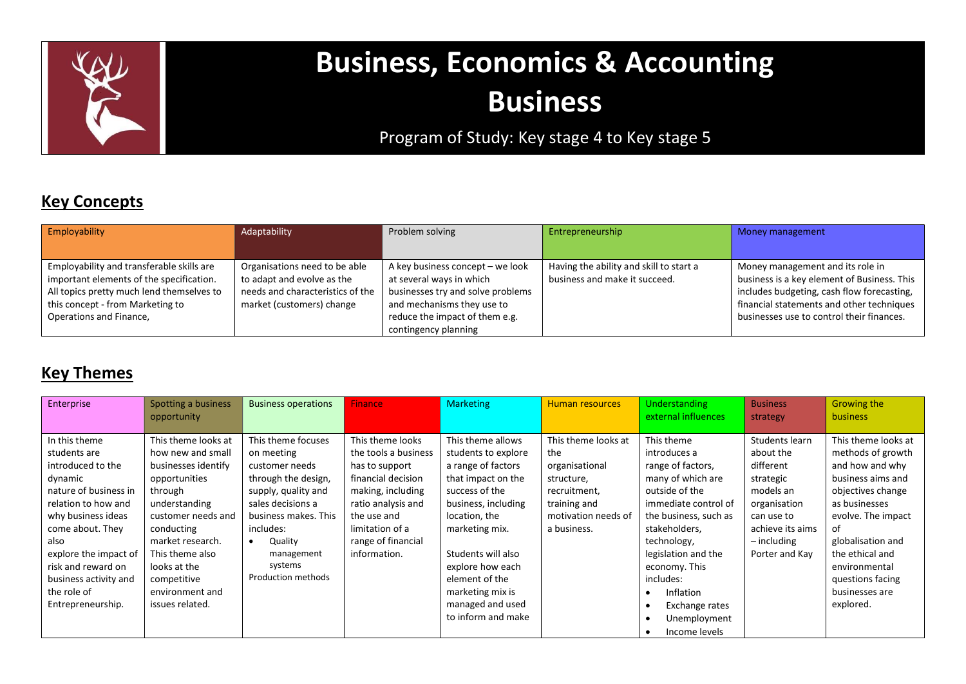

# Business, Economics & Accounting Business

# Program of Study: Key stage 4 to Key stage 5

# Key Concepts

| Employability                             | Adaptability                     | Problem solving                   | Entrepreneurship                        | Money management                            |
|-------------------------------------------|----------------------------------|-----------------------------------|-----------------------------------------|---------------------------------------------|
|                                           |                                  |                                   |                                         |                                             |
| Employability and transferable skills are | Organisations need to be able    | A key business concept – we look  | Having the ability and skill to start a | Money management and its role in            |
| important elements of the specification.  | to adapt and evolve as the       | at several ways in which          | business and make it succeed.           | business is a key element of Business. This |
| All topics pretty much lend themselves to | needs and characteristics of the | businesses try and solve problems |                                         | includes budgeting, cash flow forecasting,  |
| this concept - from Marketing to          | market (customers) change        | and mechanisms they use to        |                                         | financial statements and other techniques   |
| Operations and Finance,                   |                                  | reduce the impact of them e.g.    |                                         | businesses use to control their finances.   |
|                                           |                                  | contingency planning              |                                         |                                             |

## **Key Themes**

| Enterprise            | Spotting a business<br>opportunity | <b>Business operations</b> | <b>Finance</b>       | <b>Marketing</b>    | <b>Human resources</b> | Understanding<br>external influences | <b>Business</b><br>strategy | <b>Growing the</b><br><b>business</b> |  |
|-----------------------|------------------------------------|----------------------------|----------------------|---------------------|------------------------|--------------------------------------|-----------------------------|---------------------------------------|--|
|                       |                                    |                            |                      |                     |                        |                                      |                             |                                       |  |
| In this theme         | This theme looks at                | This theme focuses         | This theme looks     | This theme allows   | This theme looks at    | This theme                           | Students learn              | This theme looks at                   |  |
| students are          | how new and small                  | on meeting                 | the tools a business | students to explore | the                    | introduces a                         | about the                   | methods of growth                     |  |
| introduced to the     | businesses identify                | customer needs             | has to support       | a range of factors  | organisational         | range of factors,                    | different                   | and how and why                       |  |
| dynamic               | opportunities                      | through the design,        | financial decision   | that impact on the  | structure,             | many of which are                    | strategic                   | business aims and                     |  |
| nature of business in | through                            | supply, quality and        | making, including    | success of the      | recruitment,           | outside of the                       | models an                   | objectives change                     |  |
| relation to how and   | understanding                      | sales decisions a          | ratio analysis and   | business, including | training and           | immediate control of                 | organisation                | as businesses                         |  |
| why business ideas    | customer needs and                 | business makes. This       | the use and          | location, the       | motivation needs of    | the business, such as                | can use to                  | evolve. The impact                    |  |
| come about. They      | conducting                         | includes:                  | limitation of a      | marketing mix.      | a business.            | stakeholders,                        | achieve its aims            | of                                    |  |
| also                  | market research.                   | Quality                    | range of financial   |                     |                        | technology,                          | – including                 | globalisation and                     |  |
| explore the impact of | This theme also                    | management                 | information.         | Students will also  |                        | legislation and the                  | Porter and Kay              | the ethical and                       |  |
| risk and reward on    | looks at the                       | systems                    |                      | explore how each    |                        | economy. This                        |                             | environmental                         |  |
| business activity and | competitive                        | Production methods         |                      | element of the      |                        | includes:                            |                             | questions facing                      |  |
| the role of           | environment and                    |                            |                      | marketing mix is    |                        | Inflation                            |                             | businesses are                        |  |
| Entrepreneurship.     | issues related.                    |                            |                      | managed and used    |                        | Exchange rates                       |                             | explored.                             |  |
|                       |                                    |                            |                      | to inform and make  |                        | Unemployment                         |                             |                                       |  |
|                       |                                    |                            |                      |                     |                        | Income levels                        |                             |                                       |  |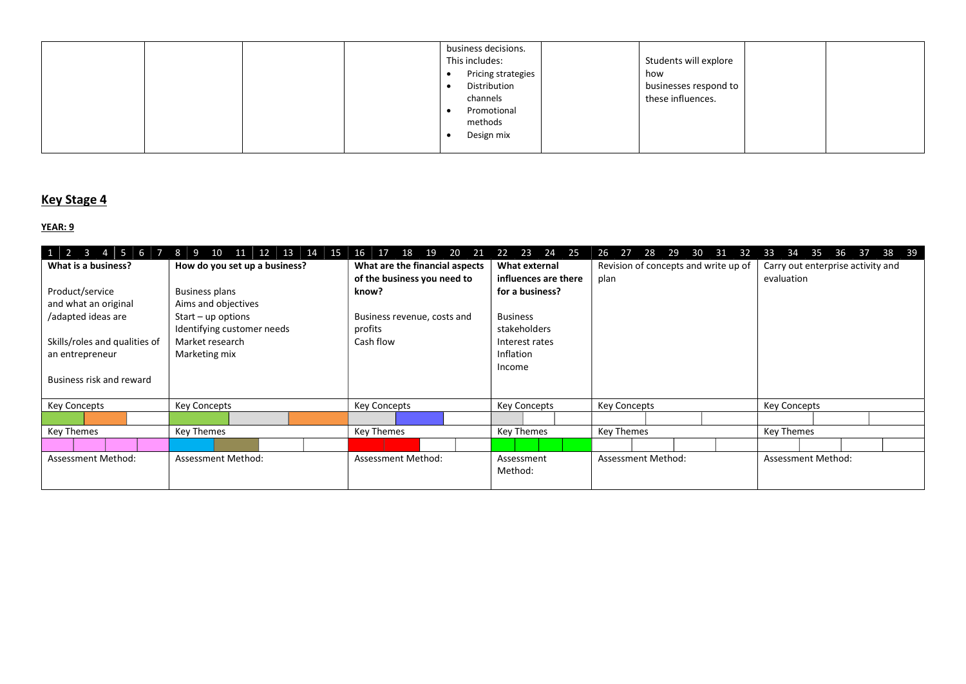|  |  | business decisions.<br>This includes:<br>Pricing strategies<br>Distribution<br>channels<br>Promotional<br>methods | Students will explore<br>how<br>businesses respond to<br>these influences. |  |
|--|--|-------------------------------------------------------------------------------------------------------------------|----------------------------------------------------------------------------|--|
|  |  | Design mix                                                                                                        |                                                                            |  |

#### Key Stage 4

| $1 \mid 2 \mid 3 \mid 4 \mid 5 \mid 6 \mid 7 \mid 8 \mid 9$ | $10 \mid 11$<br>12<br>13 14 15 | 16<br>18<br>19<br>20<br>-17<br>21 | 23<br>24 25<br>22    | 26 27 28 29<br>30<br>31<br>32        | 33<br>34<br>36<br>38<br>35<br>37<br>- 39 |
|-------------------------------------------------------------|--------------------------------|-----------------------------------|----------------------|--------------------------------------|------------------------------------------|
| What is a business?                                         | How do you set up a business?  | What are the financial aspects    | What external        | Revision of concepts and write up of | Carry out enterprise activity and        |
|                                                             |                                | of the business you need to       | influences are there | plan                                 | evaluation                               |
| Product/service                                             | <b>Business plans</b>          | know?                             | for a business?      |                                      |                                          |
| and what an original                                        | Aims and objectives            |                                   |                      |                                      |                                          |
| /adapted ideas are                                          | $Start - up options$           | Business revenue, costs and       | <b>Business</b>      |                                      |                                          |
|                                                             | Identifying customer needs     | profits                           | stakeholders         |                                      |                                          |
| Skills/roles and qualities of                               | Market research                | Cash flow                         | Interest rates       |                                      |                                          |
| an entrepreneur                                             | Marketing mix                  |                                   | Inflation            |                                      |                                          |
|                                                             |                                |                                   | Income               |                                      |                                          |
| Business risk and reward                                    |                                |                                   |                      |                                      |                                          |
|                                                             |                                |                                   |                      |                                      |                                          |
| <b>Key Concepts</b>                                         | <b>Key Concepts</b>            | <b>Key Concepts</b>               | <b>Key Concepts</b>  | <b>Key Concepts</b>                  | <b>Key Concepts</b>                      |
|                                                             |                                |                                   |                      |                                      |                                          |
| <b>Key Themes</b>                                           | Key Themes                     | <b>Key Themes</b>                 | Key Themes           | Key Themes                           | <b>Key Themes</b>                        |
|                                                             |                                |                                   |                      |                                      |                                          |
| <b>Assessment Method:</b>                                   | <b>Assessment Method:</b>      | <b>Assessment Method:</b>         | Assessment           | <b>Assessment Method:</b>            | <b>Assessment Method:</b>                |
|                                                             |                                |                                   | Method:              |                                      |                                          |
|                                                             |                                |                                   |                      |                                      |                                          |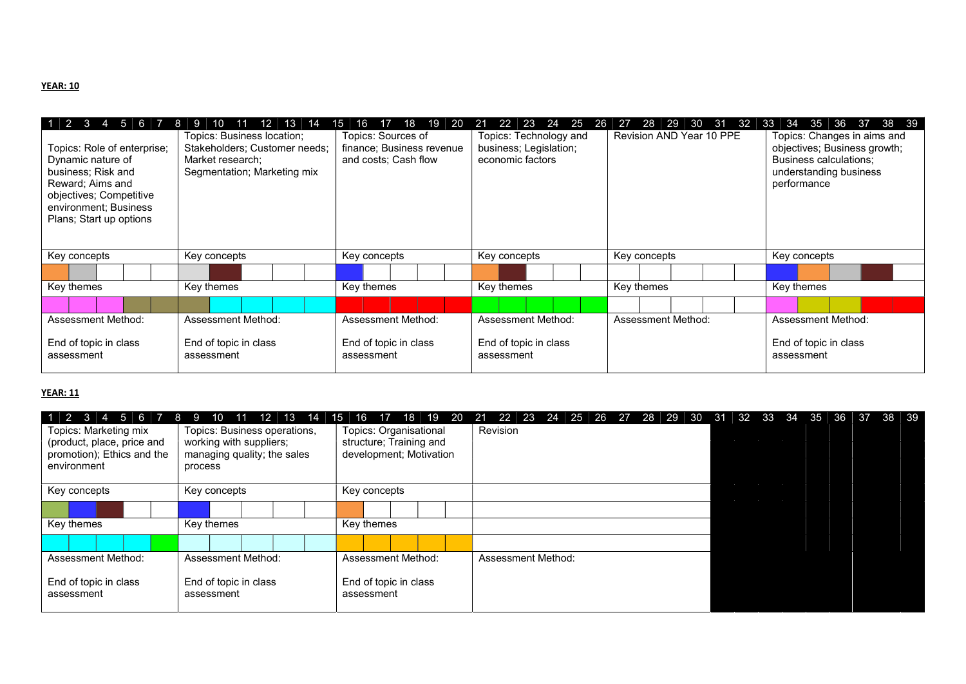#### YEAR: 10

| $1 \ 2 \ 3 \ 4 \ 5 \ 6 \ 7 \ 8 \ 9$                                                                                                                                       | 12 13<br>$10 \quad 11$<br>14                                                                                   | 18<br>$ 19\rangle$<br>15<br>$\P$<br>- 20<br>16 | 22 23 24 25 26<br>21                                                 | $\sqrt{27}$               | 28 29 30 31 32 33 34 35 36 37 38 39                                                                                            |  |  |  |
|---------------------------------------------------------------------------------------------------------------------------------------------------------------------------|----------------------------------------------------------------------------------------------------------------|------------------------------------------------|----------------------------------------------------------------------|---------------------------|--------------------------------------------------------------------------------------------------------------------------------|--|--|--|
| Topics: Role of enterprise;<br>Dynamic nature of<br>business; Risk and<br>Reward; Aims and<br>objectives; Competitive<br>environment; Business<br>Plans; Start up options | Topics: Business location;<br>Stakeholders; Customer needs;<br>Market research;<br>Segmentation; Marketing mix |                                                | Topics: Technology and<br>business; Legislation;<br>economic factors | Revision AND Year 10 PPE  | Topics: Changes in aims and<br>objectives; Business growth;<br>Business calculations;<br>understanding business<br>performance |  |  |  |
| Key concepts                                                                                                                                                              | Key concepts                                                                                                   | Key concepts                                   | Key concepts                                                         | Key concepts              | Key concepts                                                                                                                   |  |  |  |
|                                                                                                                                                                           |                                                                                                                |                                                |                                                                      |                           |                                                                                                                                |  |  |  |
| Key themes                                                                                                                                                                | Key themes                                                                                                     | Key themes                                     | Key themes                                                           | Key themes                | Key themes                                                                                                                     |  |  |  |
|                                                                                                                                                                           |                                                                                                                |                                                |                                                                      |                           |                                                                                                                                |  |  |  |
| <b>Assessment Method:</b>                                                                                                                                                 | Assessment Method:                                                                                             |                                                | Assessment Method:                                                   | <b>Assessment Method:</b> | Assessment Method:                                                                                                             |  |  |  |
| End of topic in class<br>End of topic in class<br>assessment<br>assessment                                                                                                |                                                                                                                | End of topic in class<br>assessment            | End of topic in class<br>assessment                                  |                           | End of topic in class<br>assessment                                                                                            |  |  |  |

| $1 \mid 2 \mid 3$<br>$5 \mid 6 \mid 7 \mid 8 \mid 9$<br>$\overline{4}$<br>Topics: Marketing mix<br>(product, place, price and<br>promotion); Ethics and the<br>environment | 12 13 14<br>$10 \mid 11$<br>Topics: Business operations,<br>working with suppliers;<br>managing quality; the sales<br>process | 17<br>15<br>16<br>Topics: Organisational<br>structure; Training and<br>development; Motivation | 18   19 20   21 22 23 24 25 26 27 28 29 30 31 32 33 34 35 36<br>38 39<br>- 37<br>Revision |  |
|----------------------------------------------------------------------------------------------------------------------------------------------------------------------------|-------------------------------------------------------------------------------------------------------------------------------|------------------------------------------------------------------------------------------------|-------------------------------------------------------------------------------------------|--|
| Key concepts                                                                                                                                                               | Key concepts                                                                                                                  | Key concepts                                                                                   |                                                                                           |  |
|                                                                                                                                                                            |                                                                                                                               |                                                                                                |                                                                                           |  |
| Key themes                                                                                                                                                                 | Key themes                                                                                                                    | Key themes                                                                                     |                                                                                           |  |
|                                                                                                                                                                            |                                                                                                                               |                                                                                                |                                                                                           |  |
| Assessment Method:                                                                                                                                                         | Assessment Method:                                                                                                            | Assessment Method:                                                                             | Assessment Method:                                                                        |  |
| End of topic in class<br>assessment                                                                                                                                        | End of topic in class<br>assessment                                                                                           | End of topic in class<br>assessment                                                            |                                                                                           |  |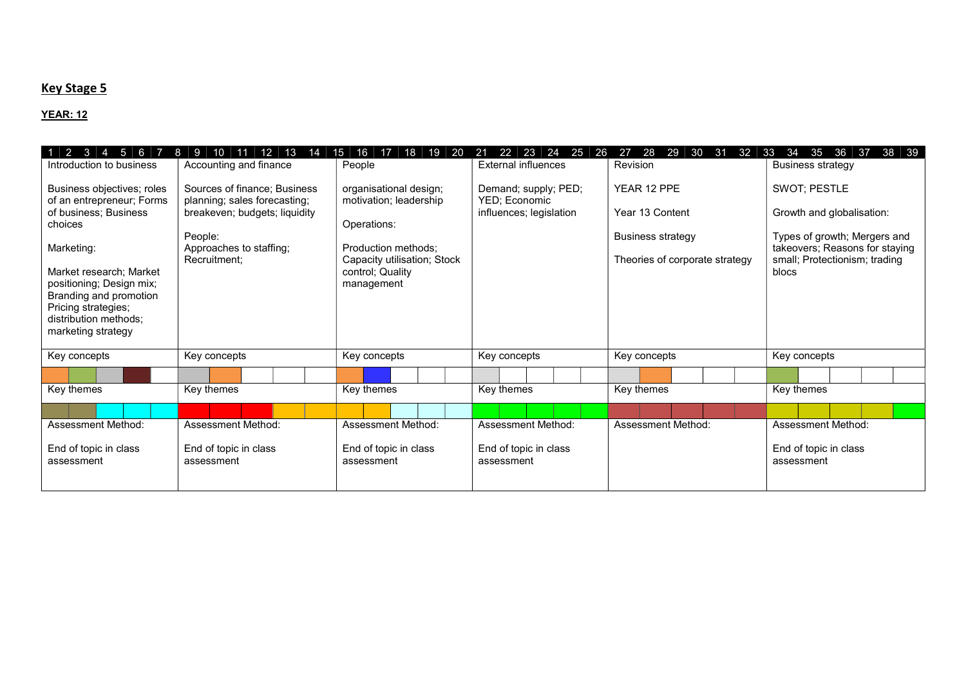### **Key Stage 5**

| $\mathbf{3}$<br>$\sqrt{2}$<br>5 <sup>1</sup><br>6<br>$\overline{A}$<br>Introduction to business<br>Business objectives; roles<br>of an entrepreneur; Forms<br>of business; Business<br>choices<br>Marketing:<br>Market research: Market<br>positioning; Design mix;<br>Branding and promotion<br>Pricing strategies; | 12<br>13<br>10<br>11<br>14<br>Accounting and finance<br>Sources of finance; Business<br>planning; sales forecasting;<br>breakeven; budgets; liquidity<br>People:<br>Approaches to staffing;<br>Recruitment; | 16<br>18<br>15<br>17<br>19<br>20<br>People<br>organisational design;<br>motivation; leadership<br>Operations:<br>Production methods:<br>Capacity utilisation; Stock<br>control; Quality<br>management | 23<br>24<br>25<br>26<br>22<br>21<br>External influences<br>Demand; supply; PED;<br>YED; Economic<br>influences; legislation | 28<br>27<br>29<br>30<br>31<br>32<br>Revision<br>YEAR 12 PPE<br>Year 13 Content<br><b>Business strategy</b><br>Theories of corporate strategy | 38<br>33<br>34<br>35<br>36<br>39<br>37<br><b>Business strategy</b><br>SWOT; PESTLE<br>Growth and globalisation:<br>Types of growth; Mergers and<br>takeovers; Reasons for staying<br>small; Protectionism; trading<br>blocs |
|----------------------------------------------------------------------------------------------------------------------------------------------------------------------------------------------------------------------------------------------------------------------------------------------------------------------|-------------------------------------------------------------------------------------------------------------------------------------------------------------------------------------------------------------|-------------------------------------------------------------------------------------------------------------------------------------------------------------------------------------------------------|-----------------------------------------------------------------------------------------------------------------------------|----------------------------------------------------------------------------------------------------------------------------------------------|-----------------------------------------------------------------------------------------------------------------------------------------------------------------------------------------------------------------------------|
| distribution methods;<br>marketing strategy<br>Key concepts                                                                                                                                                                                                                                                          | Key concepts                                                                                                                                                                                                | Key concepts                                                                                                                                                                                          | Key concepts                                                                                                                | Key concepts                                                                                                                                 | Key concepts                                                                                                                                                                                                                |
|                                                                                                                                                                                                                                                                                                                      |                                                                                                                                                                                                             |                                                                                                                                                                                                       |                                                                                                                             |                                                                                                                                              |                                                                                                                                                                                                                             |
| Key themes                                                                                                                                                                                                                                                                                                           | Key themes                                                                                                                                                                                                  | Key themes                                                                                                                                                                                            | Key themes                                                                                                                  | Key themes                                                                                                                                   | Key themes                                                                                                                                                                                                                  |
|                                                                                                                                                                                                                                                                                                                      |                                                                                                                                                                                                             |                                                                                                                                                                                                       |                                                                                                                             |                                                                                                                                              |                                                                                                                                                                                                                             |
| Assessment Method:                                                                                                                                                                                                                                                                                                   | Assessment Method:                                                                                                                                                                                          | <b>Assessment Method:</b>                                                                                                                                                                             | Assessment Method:                                                                                                          | Assessment Method:                                                                                                                           | <b>Assessment Method:</b>                                                                                                                                                                                                   |
| End of topic in class<br>assessment                                                                                                                                                                                                                                                                                  | End of topic in class<br>assessment                                                                                                                                                                         | End of topic in class<br>assessment                                                                                                                                                                   | End of topic in class<br>assessment                                                                                         |                                                                                                                                              | End of topic in class<br>assessment                                                                                                                                                                                         |